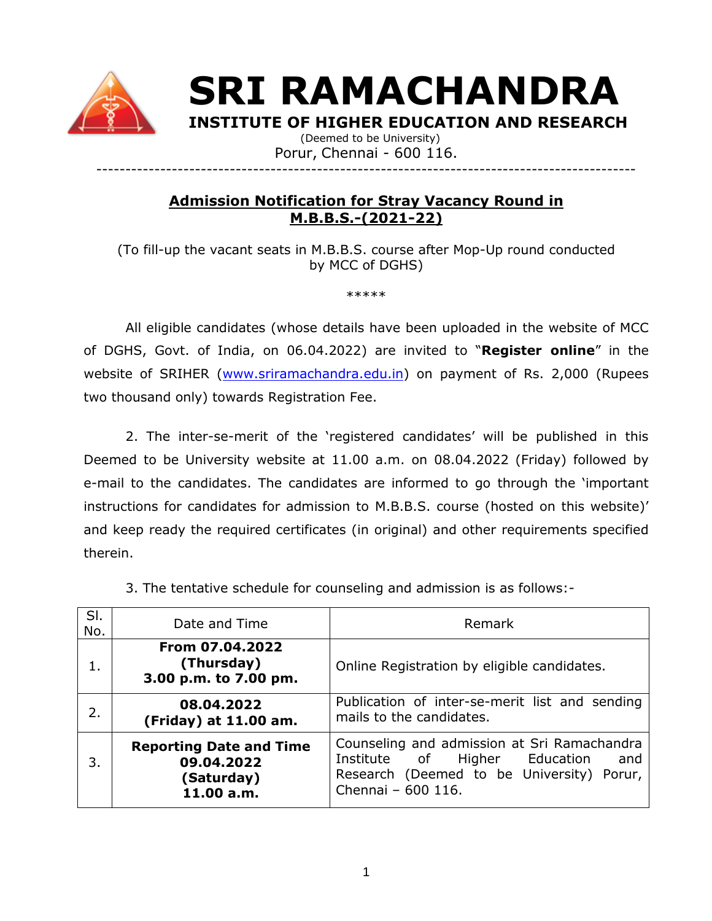

**SRI RAMACHANDRA** 

**INSTITUTE OF HIGHER EDUCATION AND RESEARCH**

 (Deemed to be University) Porur, Chennai - 600 116. ---------------------------------------------------------------------------------------------

# **Admission Notification for Stray Vacancy Round in M.B.B.S.-(2021-22)**

(To fill-up the vacant seats in M.B.B.S. course after Mop-Up round conducted by MCC of DGHS)

\*\*\*\*\*

All eligible candidates (whose details have been uploaded in the website of MCC of DGHS, Govt. of India, on 06.04.2022) are invited to "**Register online**" in the website of SRIHER [\(www.sriramachandra.edu.in\)](http://www.sriramachandra.edu.in/) on payment of Rs. 2,000 (Rupees two thousand only) towards Registration Fee.

2. The inter-se-merit of the 'registered candidates' will be published in this Deemed to be University website at 11.00 a.m. on 08.04.2022 (Friday) followed by e-mail to the candidates. The candidates are informed to go through the 'important instructions for candidates for admission to M.B.B.S. course (hosted on this website)' and keep ready the required certificates (in original) and other requirements specified therein.

| SI.<br>No. | Date and Time                                                            | Remark                                                                                                                                                    |
|------------|--------------------------------------------------------------------------|-----------------------------------------------------------------------------------------------------------------------------------------------------------|
| 1.         | From 07.04.2022<br>(Thursday)<br>3.00 p.m. to 7.00 pm.                   | Online Registration by eligible candidates.                                                                                                               |
| 2.         | 08.04.2022<br>(Friday) at 11.00 am.                                      | Publication of inter-se-merit list and sending<br>mails to the candidates.                                                                                |
| 3.         | <b>Reporting Date and Time</b><br>09.04.2022<br>(Saturday)<br>11.00 a.m. | Counseling and admission at Sri Ramachandra<br>Higher Education<br>Institute of<br>and<br>Research (Deemed to be University) Porur,<br>Chennai - 600 116. |

3. The tentative schedule for counseling and admission is as follows:-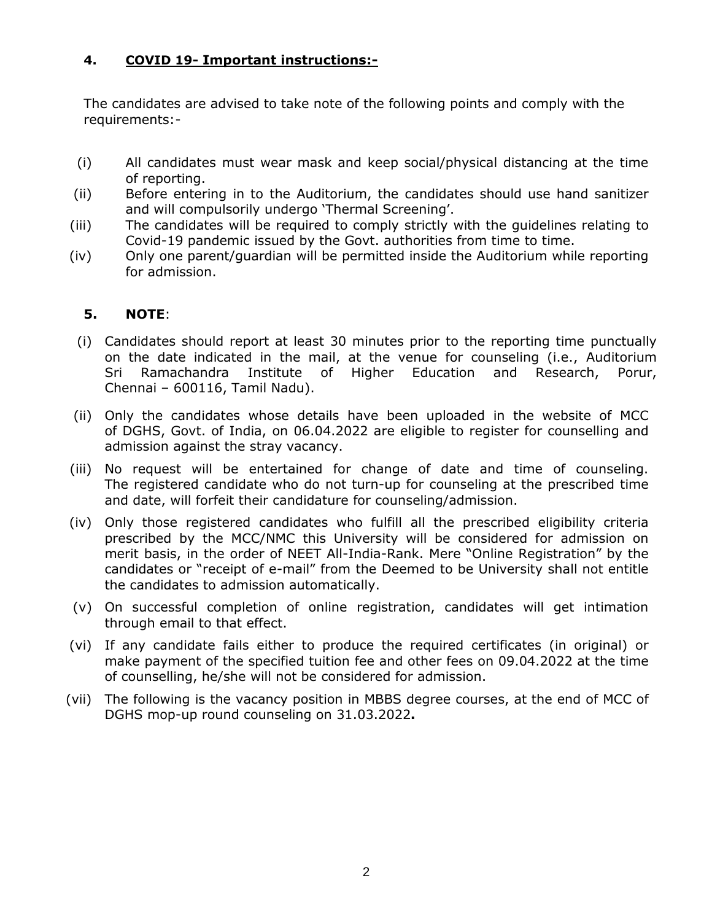### **4. COVID 19- Important instructions:-**

The candidates are advised to take note of the following points and comply with the requirements:-

- (i) All candidates must wear mask and keep social/physical distancing at the time of reporting.
- (ii) Before entering in to the Auditorium, the candidates should use hand sanitizer and will compulsorily undergo 'Thermal Screening'.
- (iii) The candidates will be required to comply strictly with the guidelines relating to Covid-19 pandemic issued by the Govt. authorities from time to time.
- (iv) Only one parent/guardian will be permitted inside the Auditorium while reporting for admission.

#### **5. NOTE**:

- (i) Candidates should report at least 30 minutes prior to the reporting time punctually on the date indicated in the mail, at the venue for counseling (i.e., Auditorium Sri Ramachandra Institute of Higher Education and Research, Porur, Chennai – 600116, Tamil Nadu).
- (ii) Only the candidates whose details have been uploaded in the website of MCC of DGHS, Govt. of India, on 06.04.2022 are eligible to register for counselling and admission against the stray vacancy.
- (iii) No request will be entertained for change of date and time of counseling. The registered candidate who do not turn-up for counseling at the prescribed time and date, will forfeit their candidature for counseling/admission.
- (iv) Only those registered candidates who fulfill all the prescribed eligibility criteria prescribed by the MCC/NMC this University will be considered for admission on merit basis, in the order of NEET All-India-Rank. Mere "Online Registration" by the candidates or "receipt of e-mail" from the Deemed to be University shall not entitle the candidates to admission automatically.
- (v) On successful completion of online registration, candidates will get intimation through email to that effect.
- (vi) If any candidate fails either to produce the required certificates (in original) or make payment of the specified tuition fee and other fees on 09.04.2022 at the time of counselling, he/she will not be considered for admission.
- (vii) The following is the vacancy position in MBBS degree courses, at the end of MCC of DGHS mop-up round counseling on 31.03.2022**.**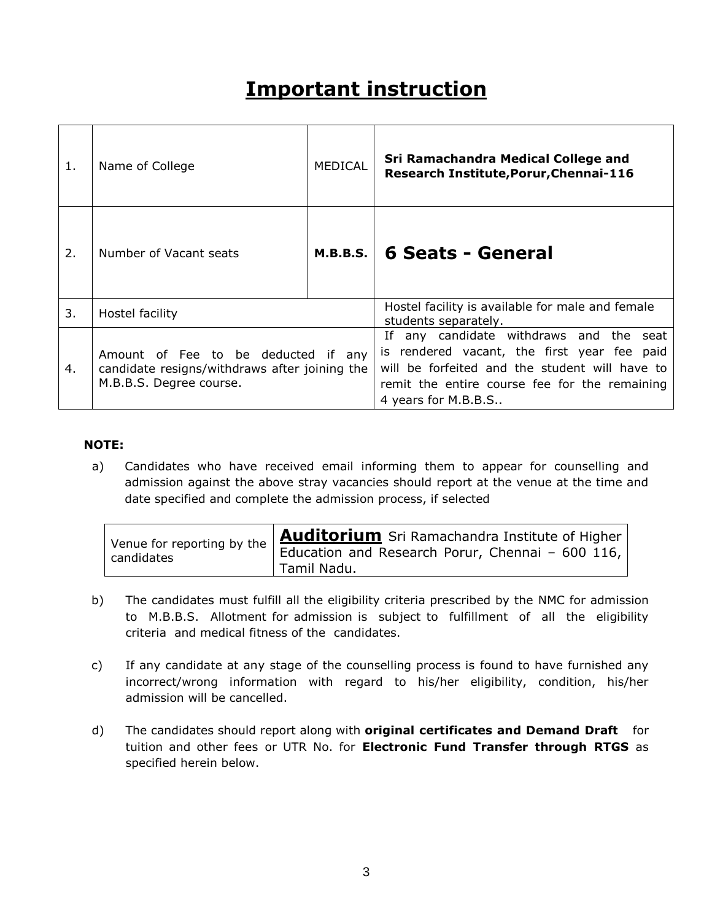# **Important instruction**

| 1. | Name of College                                                                                                 | <b>MEDICAL</b> | Sri Ramachandra Medical College and<br>Research Institute, Porur, Chennai-116                                                                                                                                       |
|----|-----------------------------------------------------------------------------------------------------------------|----------------|---------------------------------------------------------------------------------------------------------------------------------------------------------------------------------------------------------------------|
| 2. | Number of Vacant seats                                                                                          | M.B.B.S.       | <b>6 Seats - General</b>                                                                                                                                                                                            |
| 3. | Hostel facility                                                                                                 |                | Hostel facility is available for male and female<br>students separately.                                                                                                                                            |
| 4. | Amount of Fee to be deducted if any<br>candidate resigns/withdraws after joining the<br>M.B.B.S. Degree course. |                | any candidate withdraws and the seat<br>If<br>is rendered vacant, the first year fee paid<br>will be forfeited and the student will have to<br>remit the entire course fee for the remaining<br>4 years for M.B.B.S |

#### **NOTE:**

a) Candidates who have received email informing them to appear for counselling and admission against the above stray vacancies should report at the venue at the time and date specified and complete the admission process, if selected

| Venue for reporting by the | Auditorium Sri Ramachandra Institute of Higher                  |
|----------------------------|-----------------------------------------------------------------|
| candidates                 | Education and Research Porur, Chennai - 600 116,<br>Tamil Nadu. |

- b) The candidates must fulfill all the eligibility criteria prescribed by the NMC for admission to M.B.B.S. Allotment for admission is subject to fulfillment of all the eligibility criteria and medical fitness of the candidates.
- c) If any candidate at any stage of the counselling process is found to have furnished any incorrect/wrong information with regard to his/her eligibility, condition, his/her admission will be cancelled.
- d) The candidates should report along with **original certificates and Demand Draft** for tuition and other fees or UTR No. for **Electronic Fund Transfer through RTGS** as specified herein below.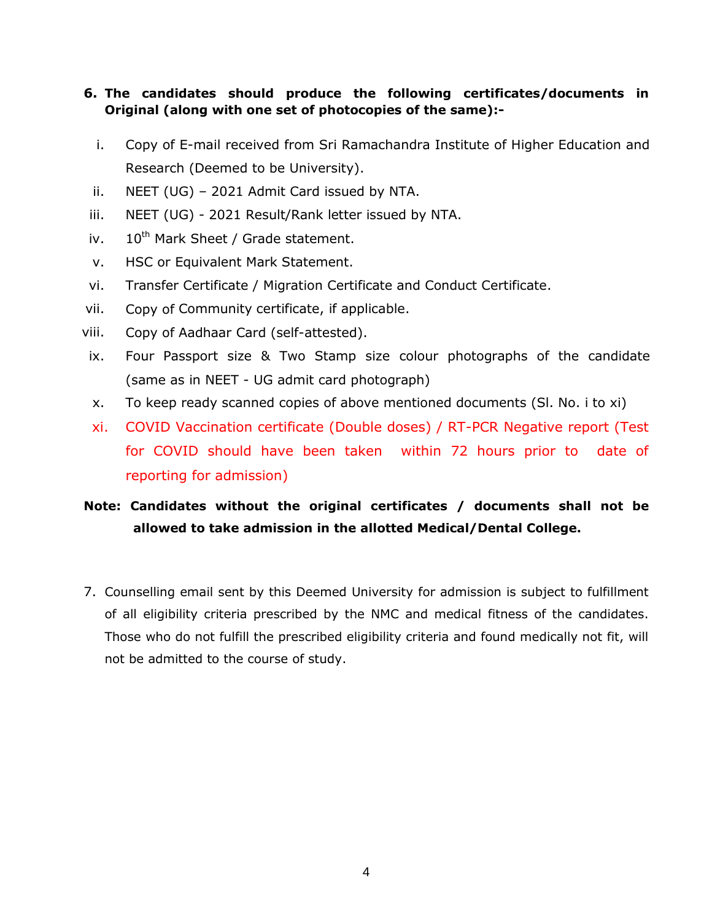## **6. The candidates should produce the following certificates/documents in Original (along with one set of photocopies of the same):-**

- i. Copy of E-mail received from Sri Ramachandra Institute of Higher Education and Research (Deemed to be University).
- ii. NEET (UG) 2021 Admit Card issued by NTA.
- iii. NEET (UG) 2021 Result/Rank letter issued by NTA.
- iv.  $10^{th}$  Mark Sheet / Grade statement.
- v. HSC or Equivalent Mark Statement.
- vi. Transfer Certificate / Migration Certificate and Conduct Certificate.
- vii. Copy of Community certificate, if applicable.
- viii. Copy of Aadhaar Card (self-attested).
- ix. Four Passport size & Two Stamp size colour photographs of the candidate (same as in NEET - UG admit card photograph)
- x. To keep ready scanned copies of above mentioned documents (Sl. No. i to xi)
- xi. COVID Vaccination certificate (Double doses) / RT-PCR Negative report (Test for COVID should have been taken within 72 hours prior to date of reporting for admission)

# **Note: Candidates without the original certificates / documents shall not be allowed to take admission in the allotted Medical/Dental College.**

7. Counselling email sent by this Deemed University for admission is subject to fulfillment of all eligibility criteria prescribed by the NMC and medical fitness of the candidates. Those who do not fulfill the prescribed eligibility criteria and found medically not fit, will not be admitted to the course of study.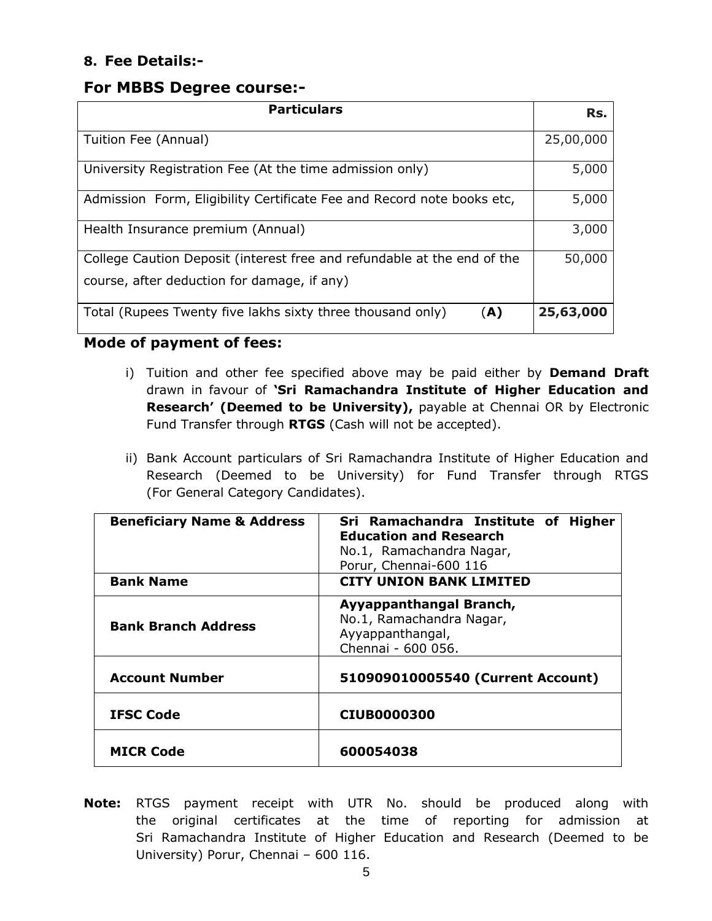# **8. Fee Details:-**

# **For MBBS Degree course:-**

| <b>Particulars</b>                                                                                                     | Rs.       |
|------------------------------------------------------------------------------------------------------------------------|-----------|
| Tuition Fee (Annual)                                                                                                   | 25,00,000 |
| University Registration Fee (At the time admission only)                                                               | 5,000     |
| Admission Form, Eligibility Certificate Fee and Record note books etc,                                                 | 5,000     |
| Health Insurance premium (Annual)                                                                                      | 3,000     |
| College Caution Deposit (interest free and refundable at the end of the<br>course, after deduction for damage, if any) | 50,000    |
| Total (Rupees Twenty five lakhs sixty three thousand only)<br>(A)                                                      | 25,63,000 |

## **Mode of payment of fees:**

- i) Tuition and other fee specified above may be paid either by **Demand Draft** drawn in favour of **'Sri Ramachandra Institute of Higher Education and Research' (Deemed to be University),** payable at Chennai OR by Electronic Fund Transfer through **RTGS** (Cash will not be accepted).
- ii) Bank Account particulars of Sri Ramachandra Institute of Higher Education and Research (Deemed to be University) for Fund Transfer through RTGS (For General Category Candidates).

| <b>Beneficiary Name &amp; Address</b><br><b>Bank Name</b> | Sri Ramachandra Institute of Higher<br><b>Education and Research</b><br>No.1, Ramachandra Nagar,<br>Porur, Chennai-600 116<br><b>CITY UNION BANK LIMITED</b> |
|-----------------------------------------------------------|--------------------------------------------------------------------------------------------------------------------------------------------------------------|
|                                                           |                                                                                                                                                              |
| <b>Bank Branch Address</b>                                | Ayyappanthangal Branch,<br>No.1, Ramachandra Nagar,<br>Ayyappanthangal,<br>Chennai - 600 056.                                                                |
| <b>Account Number</b>                                     | 510909010005540 (Current Account)                                                                                                                            |
| <b>IFSC Code</b>                                          | <b>CIUB0000300</b>                                                                                                                                           |
| <b>MICR Code</b>                                          | 600054038                                                                                                                                                    |

**Note:** RTGS payment receipt with UTR No. should be produced along with the original certificates at the time of reporting for admission at Sri Ramachandra Institute of Higher Education and Research (Deemed to be University) Porur, Chennai – 600 116.